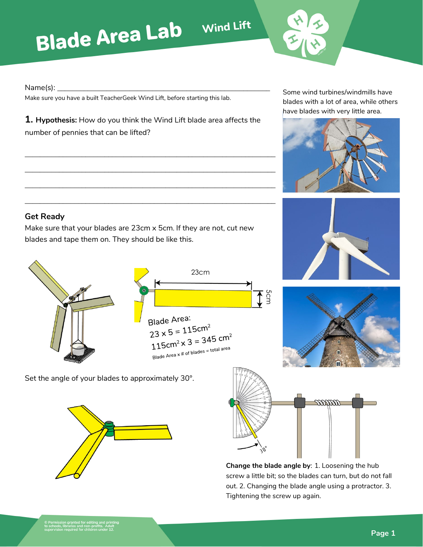## **Blade Area Lab** Wind Lift

Name(s): **\_\_\_\_\_\_\_\_\_\_\_\_\_\_\_\_\_\_\_\_\_\_\_\_\_\_\_\_\_\_\_\_\_\_\_\_\_\_\_\_\_\_\_\_\_\_\_\_\_\_\_\_\_\_\_\_**

Make sure you have a built TeacherGeek Wind Lift, before starting this lab.

**1. Hypothesis:** How do you think the Wind Lift blade area affects the number of pennies that can be lifted?

**\_\_\_\_\_\_\_\_\_\_\_\_\_\_\_\_\_\_\_\_\_\_\_\_\_\_\_\_\_\_\_\_\_\_\_\_\_\_\_\_\_\_\_\_\_\_\_\_\_\_\_\_\_\_\_\_\_\_\_\_\_\_\_\_\_\_**

**\_\_\_\_\_\_\_\_\_\_\_\_\_\_\_\_\_\_\_\_\_\_\_\_\_\_\_\_\_\_\_\_\_\_\_\_\_\_\_\_\_\_\_\_\_\_\_\_\_\_\_\_\_\_\_\_\_\_\_\_\_\_\_\_\_\_**

**\_\_\_\_\_\_\_\_\_\_\_\_\_\_\_\_\_\_\_\_\_\_\_\_\_\_\_\_\_\_\_\_\_\_\_\_\_\_\_\_\_\_\_\_\_\_\_\_\_\_\_\_\_\_\_\_\_\_\_\_\_\_\_\_\_\_**

**\_\_\_\_\_\_\_\_\_\_\_\_\_\_\_\_\_\_\_\_\_\_\_\_\_\_\_\_\_\_\_\_\_\_\_\_\_\_\_\_\_\_\_\_\_\_\_\_\_\_\_\_\_\_\_\_\_\_\_\_\_\_\_\_\_\_**

Some wind turbines/windmills have blades with a lot of area, while others have blades with very little area.



## **Get Ready**

Make sure that your blades are 23cm x 5cm. If they are not, cut new blades and tape them on. They should be like this.





Set the angle of your blades to approximately 30°.





**Change the blade angle by**: 1. Loosening the hub screw a little bit; so the blades can turn, but do not fall out. 2. Changing the blade angle using a protractor. 3. Tightening the screw up again.